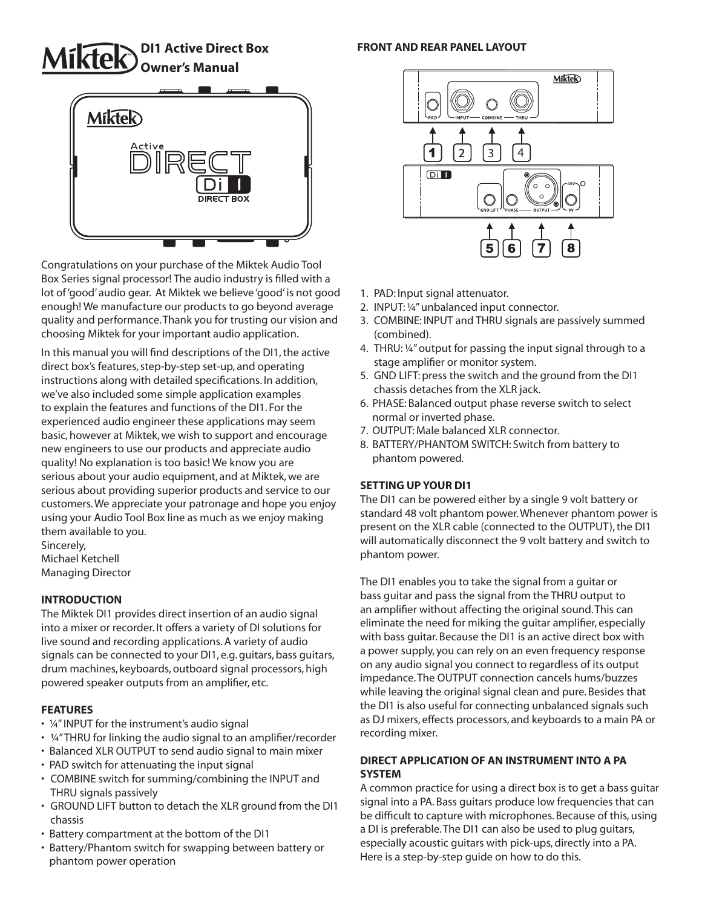# **Owner's Manual**

# **Miktek** DIRECT BOX

Congratulations on your purchase of the Miktek Audio Tool Box Series signal processor! The audio industry is filled with a lot of 'good' audio gear. At Miktek we believe 'good' is not good enough! We manufacture our products to go beyond average quality and performance. Thank you for trusting our vision and choosing Miktek for your important audio application.

In this manual you will find descriptions of the DI1, the active direct box's features, step-by-step set-up, and operating instructions along with detailed specifications. In addition, we've also included some simple application examples to explain the features and functions of the DI1. For the experienced audio engineer these applications may seem basic, however at Miktek, we wish to support and encourage new engineers to use our products and appreciate audio quality! No explanation is too basic! We know you are serious about your audio equipment, and at Miktek, we are serious about providing superior products and service to our customers. We appreciate your patronage and hope you enjoy using your Audio Tool Box line as much as we enjoy making them available to you. Sincerely,

Michael Ketchell Managing Director

# **INTRODUCTION**

The Miktek DI1 provides direct insertion of an audio signal into a mixer or recorder. It offers a variety of DI solutions for live sound and recording applications. A variety of audio signals can be connected to your DI1, e.g. guitars, bass guitars, drum machines, keyboards, outboard signal processors, high powered speaker outputs from an amplifier, etc.

# **FEATURES**

- ¼" INPUT for the instrument's audio signal
- ¼" THRU for linking the audio signal to an amplifier/recorder
- Balanced XLR OUTPUT to send audio signal to main mixer
- PAD switch for attenuating the input signal
- COMBINE switch for summing/combining the INPUT and THRU signals passively
- GROUND LIFT button to detach the XLR ground from the DI1 chassis
- Battery compartment at the bottom of the DI1
- Battery/Phantom switch for swapping between battery or phantom power operation

#### **DI1 Active Direct Box FRONT AND REAR PANEL LAYOUT**



- 1. PAD: Input signal attenuator.
- 2. INPUT: ¼" unbalanced input connector.
- 3. COMBINE: INPUT and THRU signals are passively summed (combined).
- 4. THRU: ¼" output for passing the input signal through to a stage amplifier or monitor system.
- 5. GND LIFT: press the switch and the ground from the DI1 chassis detaches from the XLR jack.
- 6. PHASE: Balanced output phase reverse switch to select normal or inverted phase.
- 7. OUTPUT: Male balanced XLR connector.
- 8. BATTERY/PHANTOM SWITCH: Switch from battery to phantom powered.

#### **SETTING UP YOUR DI1**

The DI1 can be powered either by a single 9 volt battery or standard 48 volt phantom power. Whenever phantom power is present on the XLR cable (connected to the OUTPUT), the DI1 will automatically disconnect the 9 volt battery and switch to phantom power.

The DI1 enables you to take the signal from a guitar or bass guitar and pass the signal from the THRU output to an amplifier without affecting the original sound. This can eliminate the need for miking the guitar amplifier, especially with bass guitar. Because the DI1 is an active direct box with a power supply, you can rely on an even frequency response on any audio signal you connect to regardless of its output impedance. The OUTPUT connection cancels hums/buzzes while leaving the original signal clean and pure. Besides that the DI1 is also useful for connecting unbalanced signals such as DJ mixers, effects processors, and keyboards to a main PA or recording mixer.

### **DIRECT APPLICATION OF AN INSTRUMENT INTO A PA SYSTEM**

A common practice for using a direct box is to get a bass guitar signal into a PA. Bass guitars produce low frequencies that can be difficult to capture with microphones. Because of this, using a DI is preferable. The DI1 can also be used to plug guitars, especially acoustic guitars with pick-ups, directly into a PA. Here is a step-by-step guide on how to do this.